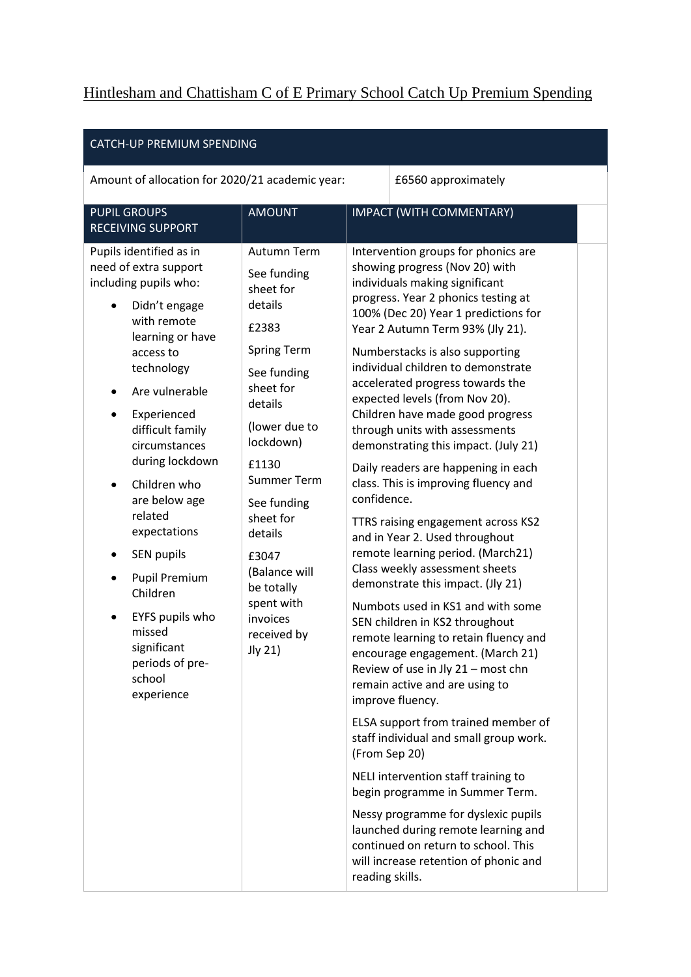## Hintlesham and Chattisham C of E Primary School Catch Up Premium Spending

| CATCH-UP PREMIUM SPENDING                                                                                                                                                                                                                                                                                                                                                                                                                                     |                                                                                                                                                                                                                                                                                                                          |                                                                                                                                                                                                                                                                                                                                                                                                                                                                                                                                                                                                                                                                                                                                                                                                                                                                                                                                                                                                                                                                                                                                                                                                                                                                                                                                                                                        |  |  |  |  |  |  |  |  |  |  |  |
|---------------------------------------------------------------------------------------------------------------------------------------------------------------------------------------------------------------------------------------------------------------------------------------------------------------------------------------------------------------------------------------------------------------------------------------------------------------|--------------------------------------------------------------------------------------------------------------------------------------------------------------------------------------------------------------------------------------------------------------------------------------------------------------------------|----------------------------------------------------------------------------------------------------------------------------------------------------------------------------------------------------------------------------------------------------------------------------------------------------------------------------------------------------------------------------------------------------------------------------------------------------------------------------------------------------------------------------------------------------------------------------------------------------------------------------------------------------------------------------------------------------------------------------------------------------------------------------------------------------------------------------------------------------------------------------------------------------------------------------------------------------------------------------------------------------------------------------------------------------------------------------------------------------------------------------------------------------------------------------------------------------------------------------------------------------------------------------------------------------------------------------------------------------------------------------------------|--|--|--|--|--|--|--|--|--|--|--|
| Amount of allocation for 2020/21 academic year:                                                                                                                                                                                                                                                                                                                                                                                                               | £6560 approximately                                                                                                                                                                                                                                                                                                      |                                                                                                                                                                                                                                                                                                                                                                                                                                                                                                                                                                                                                                                                                                                                                                                                                                                                                                                                                                                                                                                                                                                                                                                                                                                                                                                                                                                        |  |  |  |  |  |  |  |  |  |  |  |
| <b>PUPIL GROUPS</b><br><b>RECEIVING SUPPORT</b>                                                                                                                                                                                                                                                                                                                                                                                                               | <b>AMOUNT</b>                                                                                                                                                                                                                                                                                                            | IMPACT (WITH COMMENTARY)                                                                                                                                                                                                                                                                                                                                                                                                                                                                                                                                                                                                                                                                                                                                                                                                                                                                                                                                                                                                                                                                                                                                                                                                                                                                                                                                                               |  |  |  |  |  |  |  |  |  |  |  |
| Pupils identified as in<br>need of extra support<br>including pupils who:<br>Didn't engage<br>with remote<br>learning or have<br>access to<br>technology<br>Are vulnerable<br>Experienced<br>difficult family<br>circumstances<br>during lockdown<br>Children who<br>are below age<br>related<br>expectations<br><b>SEN pupils</b><br><b>Pupil Premium</b><br>Children<br>EYFS pupils who<br>missed<br>significant<br>periods of pre-<br>school<br>experience | Autumn Term<br>See funding<br>sheet for<br>details<br>£2383<br><b>Spring Term</b><br>See funding<br>sheet for<br>details<br>(lower due to<br>lockdown)<br>£1130<br><b>Summer Term</b><br>See funding<br>sheet for<br>details<br>£3047<br>(Balance will<br>be totally<br>spent with<br>invoices<br>received by<br>Jly 21) | Intervention groups for phonics are<br>showing progress (Nov 20) with<br>individuals making significant<br>progress. Year 2 phonics testing at<br>100% (Dec 20) Year 1 predictions for<br>Year 2 Autumn Term 93% (Jly 21).<br>Numberstacks is also supporting<br>individual children to demonstrate<br>accelerated progress towards the<br>expected levels (from Nov 20).<br>Children have made good progress<br>through units with assessments<br>demonstrating this impact. (July 21)<br>Daily readers are happening in each<br>class. This is improving fluency and<br>confidence.<br>TTRS raising engagement across KS2<br>and in Year 2. Used throughout<br>remote learning period. (March21)<br>Class weekly assessment sheets<br>demonstrate this impact. (Jly 21)<br>Numbots used in KS1 and with some<br>SEN children in KS2 throughout<br>remote learning to retain fluency and<br>encourage engagement. (March 21)<br>Review of use in Jly 21 - most chn<br>remain active and are using to<br>improve fluency.<br>ELSA support from trained member of<br>staff individual and small group work.<br>(From Sep 20)<br>NELI intervention staff training to<br>begin programme in Summer Term.<br>Nessy programme for dyslexic pupils<br>launched during remote learning and<br>continued on return to school. This<br>will increase retention of phonic and<br>reading skills. |  |  |  |  |  |  |  |  |  |  |  |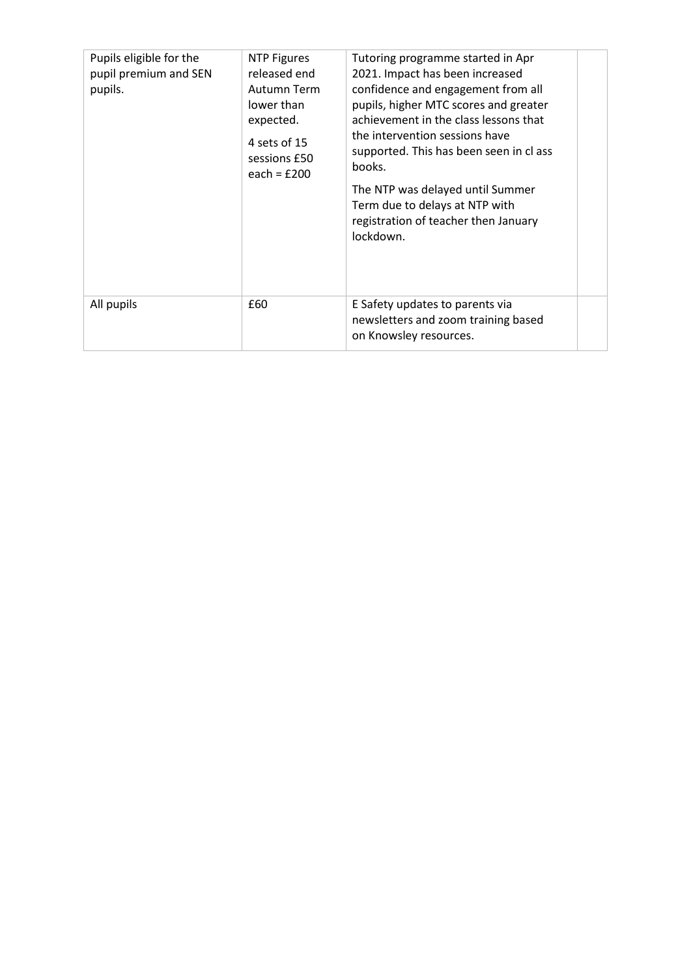| Pupils eligible for the<br>pupil premium and SEN<br>pupils. | <b>NTP Figures</b><br>released end<br>Autumn Term<br>lower than<br>expected.<br>4 sets of 15<br>sessions £50<br>each = $£200$ | Tutoring programme started in Apr<br>2021. Impact has been increased<br>confidence and engagement from all<br>pupils, higher MTC scores and greater<br>achievement in the class lessons that<br>the intervention sessions have<br>supported. This has been seen in cl ass<br>books.<br>The NTP was delayed until Summer<br>Term due to delays at NTP with<br>registration of teacher then January<br>lockdown. |  |
|-------------------------------------------------------------|-------------------------------------------------------------------------------------------------------------------------------|----------------------------------------------------------------------------------------------------------------------------------------------------------------------------------------------------------------------------------------------------------------------------------------------------------------------------------------------------------------------------------------------------------------|--|
| All pupils                                                  | £60                                                                                                                           | E Safety updates to parents via<br>newsletters and zoom training based<br>on Knowsley resources.                                                                                                                                                                                                                                                                                                               |  |